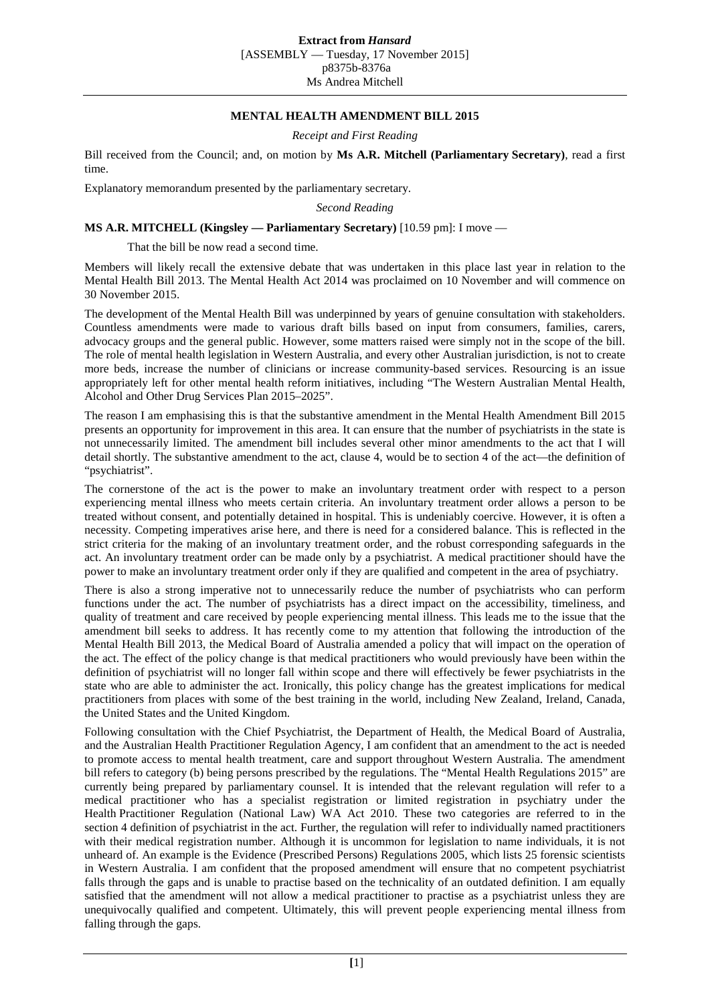## **MENTAL HEALTH AMENDMENT BILL 2015**

*Receipt and First Reading*

Bill received from the Council; and, on motion by **Ms A.R. Mitchell (Parliamentary Secretary)**, read a first time.

Explanatory memorandum presented by the parliamentary secretary.

*Second Reading*

**MS A.R. MITCHELL (Kingsley — Parliamentary Secretary)** [10.59 pm]: I move —

That the bill be now read a second time.

Members will likely recall the extensive debate that was undertaken in this place last year in relation to the Mental Health Bill 2013. The Mental Health Act 2014 was proclaimed on 10 November and will commence on 30 November 2015.

The development of the Mental Health Bill was underpinned by years of genuine consultation with stakeholders. Countless amendments were made to various draft bills based on input from consumers, families, carers, advocacy groups and the general public. However, some matters raised were simply not in the scope of the bill. The role of mental health legislation in Western Australia, and every other Australian jurisdiction, is not to create more beds, increase the number of clinicians or increase community-based services. Resourcing is an issue appropriately left for other mental health reform initiatives, including "The Western Australian Mental Health, Alcohol and Other Drug Services Plan 2015–2025".

The reason I am emphasising this is that the substantive amendment in the Mental Health Amendment Bill 2015 presents an opportunity for improvement in this area. It can ensure that the number of psychiatrists in the state is not unnecessarily limited. The amendment bill includes several other minor amendments to the act that I will detail shortly. The substantive amendment to the act, clause 4, would be to section 4 of the act—the definition of "psychiatrist".

The cornerstone of the act is the power to make an involuntary treatment order with respect to a person experiencing mental illness who meets certain criteria. An involuntary treatment order allows a person to be treated without consent, and potentially detained in hospital. This is undeniably coercive. However, it is often a necessity. Competing imperatives arise here, and there is need for a considered balance. This is reflected in the strict criteria for the making of an involuntary treatment order, and the robust corresponding safeguards in the act. An involuntary treatment order can be made only by a psychiatrist. A medical practitioner should have the power to make an involuntary treatment order only if they are qualified and competent in the area of psychiatry.

There is also a strong imperative not to unnecessarily reduce the number of psychiatrists who can perform functions under the act. The number of psychiatrists has a direct impact on the accessibility, timeliness, and quality of treatment and care received by people experiencing mental illness. This leads me to the issue that the amendment bill seeks to address. It has recently come to my attention that following the introduction of the Mental Health Bill 2013, the Medical Board of Australia amended a policy that will impact on the operation of the act. The effect of the policy change is that medical practitioners who would previously have been within the definition of psychiatrist will no longer fall within scope and there will effectively be fewer psychiatrists in the state who are able to administer the act. Ironically, this policy change has the greatest implications for medical practitioners from places with some of the best training in the world, including New Zealand, Ireland, Canada, the United States and the United Kingdom.

Following consultation with the Chief Psychiatrist, the Department of Health, the Medical Board of Australia, and the Australian Health Practitioner Regulation Agency, I am confident that an amendment to the act is needed to promote access to mental health treatment, care and support throughout Western Australia. The amendment bill refers to category (b) being persons prescribed by the regulations. The "Mental Health Regulations 2015" are currently being prepared by parliamentary counsel. It is intended that the relevant regulation will refer to a medical practitioner who has a specialist registration or limited registration in psychiatry under the Health Practitioner Regulation (National Law) WA Act 2010. These two categories are referred to in the section 4 definition of psychiatrist in the act. Further, the regulation will refer to individually named practitioners with their medical registration number. Although it is uncommon for legislation to name individuals, it is not unheard of. An example is the Evidence (Prescribed Persons) Regulations 2005, which lists 25 forensic scientists in Western Australia. I am confident that the proposed amendment will ensure that no competent psychiatrist falls through the gaps and is unable to practise based on the technicality of an outdated definition. I am equally satisfied that the amendment will not allow a medical practitioner to practise as a psychiatrist unless they are unequivocally qualified and competent. Ultimately, this will prevent people experiencing mental illness from falling through the gaps.